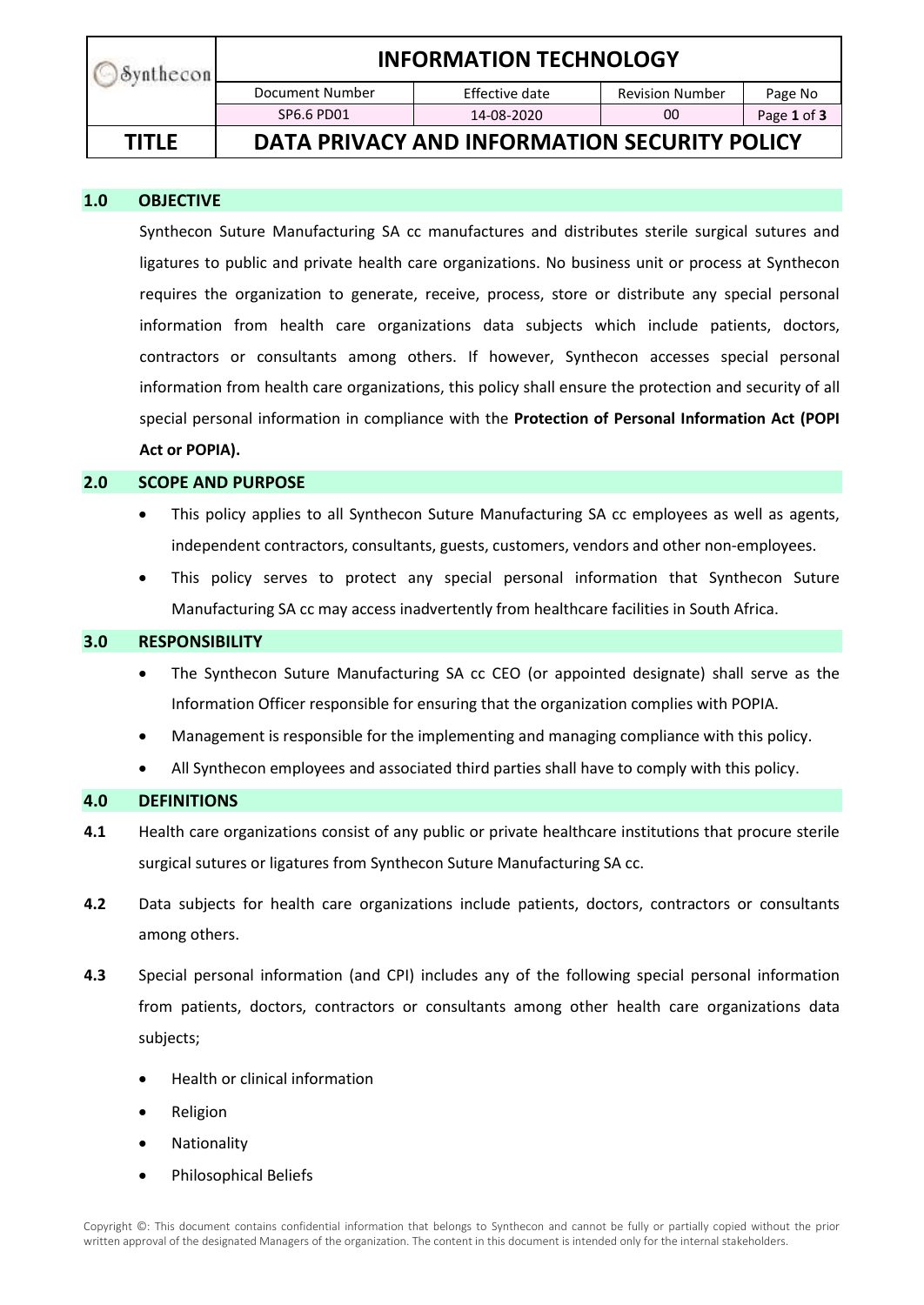| Synthecon    | <b>INFORMATION TECHNOLOGY</b>                |                |                        |             |
|--------------|----------------------------------------------|----------------|------------------------|-------------|
|              | Document Number                              | Effective date | <b>Revision Number</b> | Page No     |
|              | SP6.6 PD01                                   | 14-08-2020     | 00                     | Page 1 of 3 |
| <b>TITLE</b> | DATA PRIVACY AND INFORMATION SECURITY POLICY |                |                        |             |

## **1.0 OBJECTIVE**

Synthecon Suture Manufacturing SA cc manufactures and distributes sterile surgical sutures and ligatures to public and private health care organizations. No business unit or process at Synthecon requires the organization to generate, receive, process, store or distribute any special personal information from health care organizations data subjects which include patients, doctors, contractors or consultants among others. If however, Synthecon accesses special personal information from health care organizations, this policy shall ensure the protection and security of all special personal information in compliance with the **Protection of Personal Information Act (POPI Act or POPIA).**

## **2.0 SCOPE AND PURPOSE**

- This policy applies to all Synthecon Suture Manufacturing SA cc employees as well as agents, independent contractors, consultants, guests, customers, vendors and other non-employees.
- This policy serves to protect any special personal information that Synthecon Suture Manufacturing SA cc may access inadvertently from healthcare facilities in South Africa.

# **3.0 RESPONSIBILITY**

- The Synthecon Suture Manufacturing SA cc CEO (or appointed designate) shall serve as the Information Officer responsible for ensuring that the organization complies with POPIA.
- Management is responsible for the implementing and managing compliance with this policy.
- All Synthecon employees and associated third parties shall have to comply with this policy.

#### **4.0 DEFINITIONS**

- **4.1** Health care organizations consist of any public or private healthcare institutions that procure sterile surgical sutures or ligatures from Synthecon Suture Manufacturing SA cc.
- **4.2** Data subjects for health care organizations include patients, doctors, contractors or consultants among others.
- **4.3** Special personal information (and CPI) includes any of the following special personal information from patients, doctors, contractors or consultants among other health care organizations data subjects;
	- Health or clinical information
	- Religion
	- Nationality
	- Philosophical Beliefs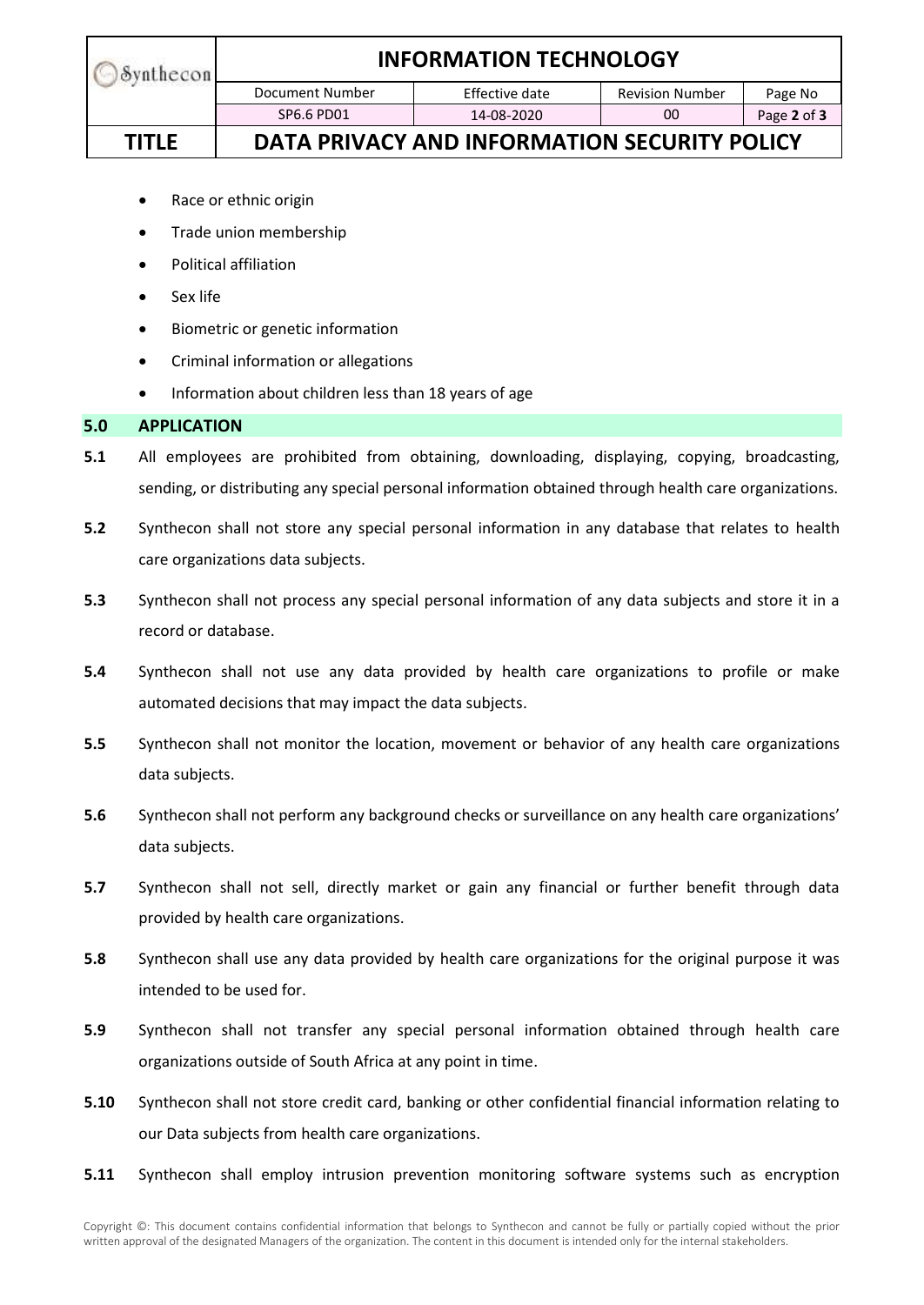| Synthecon    | <b>INFORMATION TECHNOLOGY</b>                |                |                        |             |
|--------------|----------------------------------------------|----------------|------------------------|-------------|
|              | Document Number                              | Effective date | <b>Revision Number</b> | Page No     |
|              | SP6.6 PD01                                   | 14-08-2020     | 00                     | Page 2 of 3 |
| <b>TITLE</b> | DATA PRIVACY AND INFORMATION SECURITY POLICY |                |                        |             |

- Race or ethnic origin
- Trade union membership
- Political affiliation
- Sex life
- Biometric or genetic information
- Criminal information or allegations
- Information about children less than 18 years of age

#### **5.0 APPLICATION**

- **5.1** All employees are prohibited from obtaining, downloading, displaying, copying, broadcasting, sending, or distributing any special personal information obtained through health care organizations.
- **5.2** Synthecon shall not store any special personal information in any database that relates to health care organizations data subjects.
- **5.3** Synthecon shall not process any special personal information of any data subjects and store it in a record or database.
- **5.4** Synthecon shall not use any data provided by health care organizations to profile or make automated decisions that may impact the data subjects.
- **5.5** Synthecon shall not monitor the location, movement or behavior of any health care organizations data subjects.
- **5.6** Synthecon shall not perform any background checks or surveillance on any health care organizations' data subjects.
- **5.7** Synthecon shall not sell, directly market or gain any financial or further benefit through data provided by health care organizations.
- **5.8** Synthecon shall use any data provided by health care organizations for the original purpose it was intended to be used for.
- **5.9** Synthecon shall not transfer any special personal information obtained through health care organizations outside of South Africa at any point in time.
- **5.10** Synthecon shall not store credit card, banking or other confidential financial information relating to our Data subjects from health care organizations.
- **5.11** Synthecon shall employ intrusion prevention monitoring software systems such as encryption